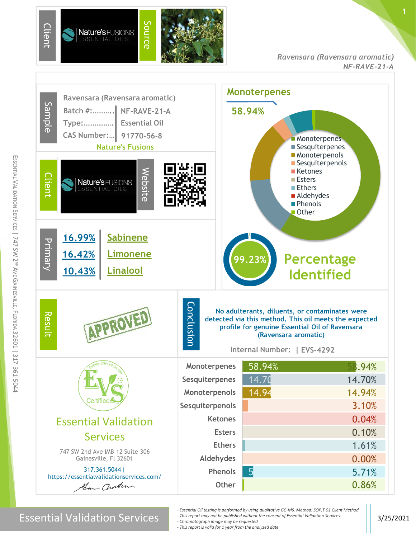

### *Ravensara (Ravensara aromatic) NF-RAVE-21-A*

**1**



*- Essential Oil testing is performed by using qualitative GC-MS. Method: SOP.T.01 Client Method*

*- This report may not be published without the consent of Essential Validation Services.*

*- Chromatograph image may be requested*

*- This report is valid for 1 year from the analyzed date*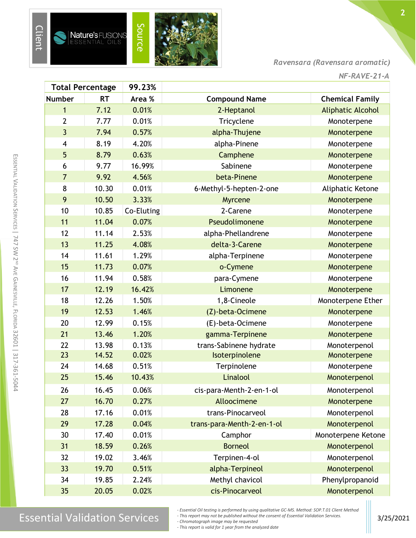

### *Ravensara (Ravensara aromatic)*

| <b>Total Percentage</b> |           | 99.23%     |                            |                          |
|-------------------------|-----------|------------|----------------------------|--------------------------|
| <b>Number</b>           | <b>RT</b> | Area %     | <b>Compound Name</b>       | <b>Chemical Family</b>   |
| 1                       | 7.12      | 0.01%      | 2-Heptanol                 | <b>Aliphatic Alcohol</b> |
| $\overline{2}$          | 7.77      | 0.01%      | Tricyclene                 | Monoterpene              |
| $\overline{\mathbf{3}}$ | 7.94      | 0.57%      | alpha-Thujene              | Monoterpene              |
| $\overline{4}$          | 8.19      | 4.20%      | alpha-Pinene               | Monoterpene              |
| 5                       | 8.79      | 0.63%      | Camphene                   | Monoterpene              |
| 6                       | 9.77      | 16.99%     | Sabinene                   | Monoterpene              |
| $\overline{7}$          | 9.92      | 4.56%      | beta-Pinene                | Monoterpene              |
| 8                       | 10.30     | 0.01%      | 6-Methyl-5-hepten-2-one    | Aliphatic Ketone         |
| 9                       | 10.50     | 3.33%      | Myrcene                    | Monoterpene              |
| 10                      | 10.85     | Co-Eluting | 2-Carene                   | Monoterpene              |
| 11                      | 11.04     | 0.07%      | Pseudolimonene             | Monoterpene              |
| 12                      | 11.14     | 2.53%      | alpha-Phellandrene         | Monoterpene              |
| 13                      | 11.25     | 4.08%      | delta-3-Carene             | Monoterpene              |
| 14                      | 11.61     | 1.29%      | alpha-Terpinene            | Monoterpene              |
| 15                      | 11.73     | 0.07%      | o-Cymene                   | Monoterpene              |
| 16                      | 11.94     | 0.58%      | para-Cymene                | Monoterpene              |
| 17                      | 12.19     | 16.42%     | Limonene                   | Monoterpene              |
| 18                      | 12.26     | 1.50%      | 1,8-Cineole                | Monoterpene Ether        |
| 19                      | 12.53     | 1.46%      | (Z)-beta-Ocimene           | Monoterpene              |
| 20                      | 12.99     | 0.15%      | (E)-beta-Ocimene           | Monoterpene              |
| 21                      | 13.46     | 1.20%      | gamma-Terpinene            | Monoterpene              |
| 22                      | 13.98     | 0.13%      | trans-Sabinene hydrate     | Monoterpenol             |
| 23                      | 14.52     | 0.02%      | Isoterpinolene             | Monoterpene              |
| 24                      | 14.68     | 0.51%      | Terpinolene                | Monoterpene              |
| 25                      | 15.46     | 10.43%     | Linalool                   | Monoterpenol             |
| 26                      | 16.45     | 0.06%      | cis-para-Menth-2-en-1-ol   | Monoterpenol             |
| 27                      | 16.70     | 0.27%      | Alloocimene                | Monoterpene              |
| 28                      | 17.16     | 0.01%      | trans-Pinocarveol          | Monoterpenol             |
| 29                      | 17.28     | 0.04%      | trans-para-Menth-2-en-1-ol | Monoterpenol             |
| 30                      | 17.40     | 0.01%      | Camphor                    | Monoterpene Ketone       |
| 31                      | 18.59     | 0.26%      | <b>Borneol</b>             | Monoterpenol             |
| 32                      | 19.02     | 3.46%      | Terpinen-4-ol              | Monoterpenol             |
| 33                      | 19.70     | 0.51%      | alpha-Terpineol            | Monoterpenol             |
| 34                      | 19.85     | 2.24%      | Methyl chavicol            | Phenylpropanoid          |
| 35                      | 20.05     | 0.02%      | cis-Pinocarveol            | Monoterpenol             |

## Essential Validation Services 3/25/2021

*- Essential Oil testing is performed by using qualitative GC-MS. Method: SOP.T.01 Client Method*

*- This report may not be published without the consent of Essential Validation Services. - Chromatograph image may be requested*

*- This report is valid for 1 year from the analyzed date*

E

m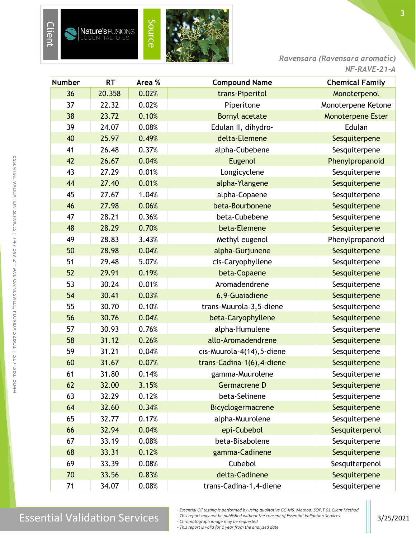

*Ravensara (Ravensara aromatic) NF-RAVE-21-A*

**3**

| <b>Number</b> | <b>RT</b> | Area % | <b>Compound Name</b>       | <b>Chemical Family</b> |  |
|---------------|-----------|--------|----------------------------|------------------------|--|
| 36            | 20.358    | 0.02%  | trans-Piperitol            | Monoterpenol           |  |
| 37            | 22.32     | 0.02%  | Piperitone                 | Monoterpene Ketone     |  |
| 38            | 23.72     | 0.10%  | <b>Bornyl acetate</b>      | Monoterpene Ester      |  |
| 39            | 24.07     | 0.08%  | Edulan II, dihydro-        | Edulan                 |  |
| 40            | 25.97     | 0.49%  | delta-Elemene              | Sesquiterpene          |  |
| 41            | 26.48     | 0.37%  | alpha-Cubebene             | Sesquiterpene          |  |
| 42            | 26.67     | 0.04%  | Eugenol                    | Phenylpropanoid        |  |
| 43            | 27.29     | 0.01%  | Longicyclene               | Sesquiterpene          |  |
| 44            | 27.40     | 0.01%  | alpha-Ylangene             | Sesquiterpene          |  |
| 45            | 27.67     | 1.04%  | alpha-Copaene              | Sesquiterpene          |  |
| 46            | 27.98     | 0.06%  | beta-Bourbonene            | Sesquiterpene          |  |
| 47            | 28.21     | 0.36%  | beta-Cubebene              | Sesquiterpene          |  |
| 48            | 28.29     | 0.70%  | beta-Elemene               | Sesquiterpene          |  |
| 49            | 28.83     | 3.43%  | Methyl eugenol             | Phenylpropanoid        |  |
| 50            | 28.98     | 0.04%  | alpha-Gurjunene            | Sesquiterpene          |  |
| 51            | 29.48     | 5.07%  | cis-Caryophyllene          | Sesquiterpene          |  |
| 52            | 29.91     | 0.19%  | beta-Copaene               | Sesquiterpene          |  |
| 53            | 30.24     | 0.01%  | Aromadendrene              | Sesquiterpene          |  |
| 54            | 30.41     | 0.03%  | 6,9-Guaiadiene             | Sesquiterpene          |  |
| 55            | 30.70     | 0.10%  | trans-Muurola-3,5-diene    | Sesquiterpene          |  |
| 56            | 30.76     | 0.04%  | beta-Caryophyllene         | Sesquiterpene          |  |
| 57            | 30.93     | 0.76%  | alpha-Humulene             | Sesquiterpene          |  |
| 58            | 31.12     | 0.26%  | allo-Aromadendrene         | Sesquiterpene          |  |
| 59            | 31.21     | 0.04%  | cis-Muurola-4(14), 5-diene | Sesquiterpene          |  |
| 60            | 31.67     | 0.07%  | trans-Cadina-1(6), 4-diene | Sesquiterpene          |  |
| 61            | 31.80     | 0.14%  | gamma-Muurolene            | Sesquiterpene          |  |
| 62            | 32.00     | 3.15%  | Germacrene D               | Sesquiterpene          |  |
| 63            | 32.29     | 0.12%  | beta-Selinene              | Sesquiterpene          |  |
| 64            | 32.60     | 0.34%  | Bicyclogermacrene          | Sesquiterpene          |  |
| 65            | 32.77     | 0.17%  | alpha-Muurolene            | Sesquiterpene          |  |
| 66            | 32.94     | 0.04%  | epi-Cubebol                | Sesquiterpenol         |  |
| 67            | 33.19     | 0.08%  | beta-Bisabolene            | Sesquiterpene          |  |
| 68            | 33.31     | 0.12%  | gamma-Cadinene             | Sesquiterpene          |  |
| 69            | 33.39     | 0.08%  | Cubebol                    | Sesquiterpenol         |  |
| 70            | 33.56     | 0.83%  | delta-Cadinene             | Sesquiterpene          |  |
| 71            | 34.07     | 0.08%  | trans-Cadina-1,4-diene     | Sesquiterpene          |  |

*- This report may not be published without the consent of Essential Validation Services.*

*- Chromatograph image may be requested*

*- This report is valid for 1 year from the analyzed date*

*<sup>-</sup> Essential Oil testing is performed by using qualitative GC-MS. Method: SOP.T.01 Client Method*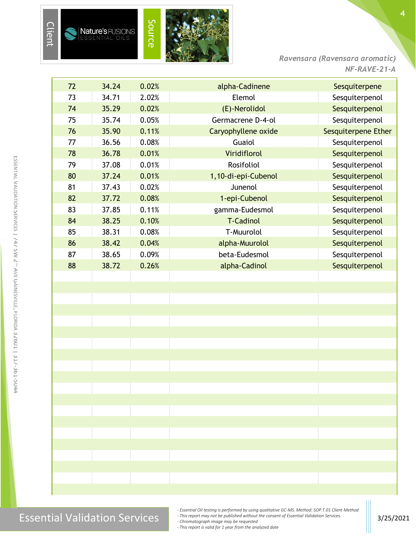

### *Ravensara (Ravensara aromatic) NF-RAVE-21-A*

| 72 | 34.24 | 0.02% | alpha-Cadinene      | Sesquiterpene       |
|----|-------|-------|---------------------|---------------------|
| 73 | 34.71 | 2.02% | Elemol              | Sesquiterpenol      |
| 74 | 35.29 | 0.02% | (E)-Nerolidol       | Sesquiterpenol      |
| 75 | 35.74 | 0.05% | Germacrene D-4-ol   | Sesquiterpenol      |
| 76 | 35.90 | 0.11% | Caryophyllene oxide | Sesquiterpene Ether |
| 77 | 36.56 | 0.08% | Guaiol              | Sesquiterpenol      |
| 78 | 36.78 | 0.01% | Viridiflorol        | Sesquiterpenol      |
| 79 | 37.08 | 0.01% | Rosifoliol          | Sesquiterpenol      |
| 80 | 37.24 | 0.01% | 1,10-di-epi-Cubenol | Sesquiterpenol      |
| 81 | 37.43 | 0.02% | Junenol             | Sesquiterpenol      |
| 82 | 37.72 | 0.08% | 1-epi-Cubenol       | Sesquiterpenol      |
| 83 | 37.85 | 0.11% | gamma-Eudesmol      | Sesquiterpenol      |
| 84 | 38.25 | 0.10% | <b>T-Cadinol</b>    | Sesquiterpenol      |
| 85 | 38.31 | 0.08% | T-Muurolol          | Sesquiterpenol      |
| 86 | 38.42 | 0.04% | alpha-Muurolol      | Sesquiterpenol      |
| 87 | 38.65 | 0.09% | beta-Eudesmol       | Sesquiterpenol      |
| 88 | 38.72 | 0.26% | alpha-Cadinol       | Sesquiterpenol      |
|    |       |       |                     |                     |
|    |       |       |                     |                     |
|    |       |       |                     |                     |
|    |       |       |                     |                     |
|    |       |       |                     |                     |
|    |       |       |                     |                     |
|    |       |       |                     |                     |
|    |       |       |                     |                     |
|    |       |       |                     |                     |
|    |       |       |                     |                     |
|    |       |       |                     |                     |
|    |       |       |                     |                     |
|    |       |       |                     |                     |
|    |       |       |                     |                     |
|    |       |       |                     |                     |
|    |       |       |                     |                     |
|    |       |       |                     |                     |
|    |       |       |                     |                     |
|    |       |       |                     |                     |
|    |       |       |                     |                     |

# $\text{Essenity}$  is performed by using quantum excritic Critics, we hold sorthan on the server of Essential Validation Services.

*- Essential Oil testing is performed by using qualitative GC-MS. Method: SOP.T.01 Client Method*

*- This report may not be published without the consent of Essential Validation Services. - Chromatograph image may be requested*

*- This report is valid for 1 year from the analyzed date*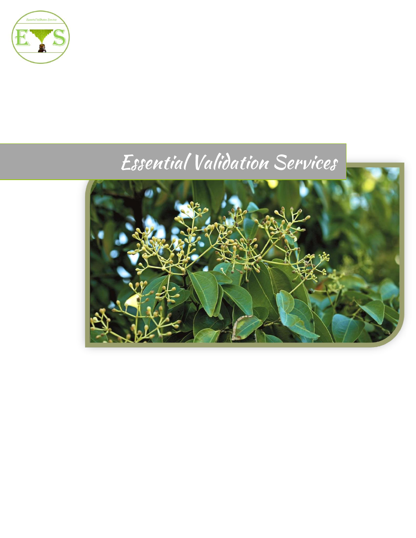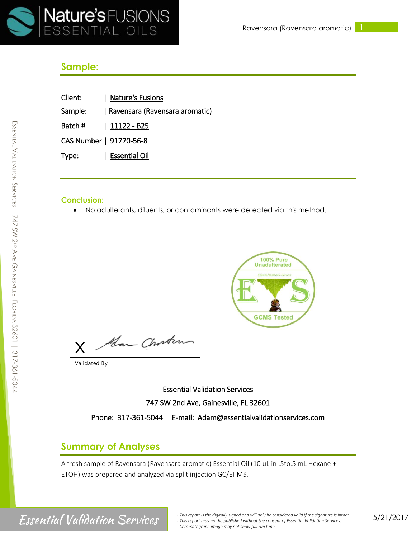

### **Sample:**

Sample: | Ravensara (Ravensara aromatic)

Batch # | 11122 - B25

CAS Number | 91770-56-8

Type: | Essential Oil

### **Conclusion:**

• No adulterants, diluents, or contaminants were detected via this method.



Han Chosten X

Validated By:

Essential Validation Services 747 SW 2nd Ave, Gainesville, FL 32601 Phone: 317-361-5044 E-mail: Adam@essentialvalidationservices.com

### **Summary of Analyses**

A fresh sample of Ravensara (Ravensara aromatic) Essential Oil (10 uL in .5to.5 mL Hexane + ETOH) was prepared and analyzed via split injection GC/EI-MS.

E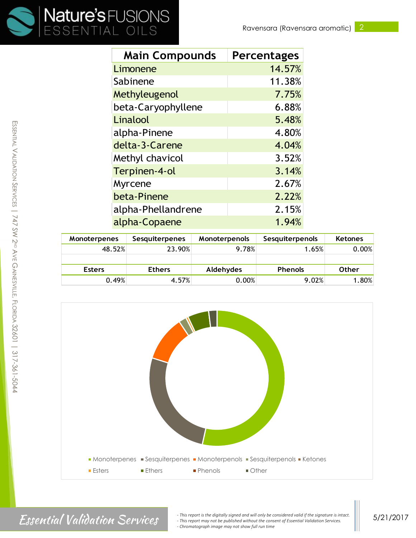

| <b>Main Compounds</b> | <b>Percentages</b> |
|-----------------------|--------------------|
| Limonene              | 14.57%             |
| Sabinene              | 11.38%             |
| Methyleugenol         | 7.75%              |
| beta-Caryophyllene    | 6.88%              |
| Linalool              | 5.48%              |
| alpha-Pinene          | 4.80%              |
| delta-3-Carene        | 4.04%              |
| Methyl chavicol       | 3.52%              |
| Terpinen-4-ol         | 3.14%              |
| Myrcene               | 2.67%              |
| beta-Pinene           | 2.22%              |
| alpha-Phellandrene    | 2.15%              |
| alpha-Copaene         | 1.94%              |

| <b>Monoterpenes</b> | <b>Sesquiterpenes</b> | Monoterpenols | Sesquiterpenols | <b>Ketones</b> |
|---------------------|-----------------------|---------------|-----------------|----------------|
| 48.52%              | 23.90%                | 9.78%         | 1.65%           | 0.00%          |
|                     |                       |               |                 |                |
| <b>Esters</b>       | <b>Ethers</b>         | Aldehydes     | <b>Phenols</b>  | <b>Other</b>   |
| 0.49%               | 4.57%                 | 0.00%         | 9.02%           | 1.80%          |

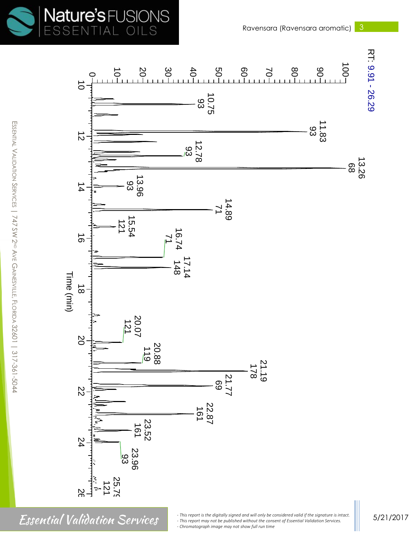



Essential Validation Services

*- This report is the digitally signed and will only be considered valid if the signature is intact. - This report may not be published without the consent of Essential Validation Services. - Chromatograph image may not show full run time* ralid<br>ntial f the<br>Valia signe<br>ation<br>. ture<br>Servi s inte<br>ces.<br>.

5/21/2017

 $\ddot{t}$ .  $\frac{1}{2}$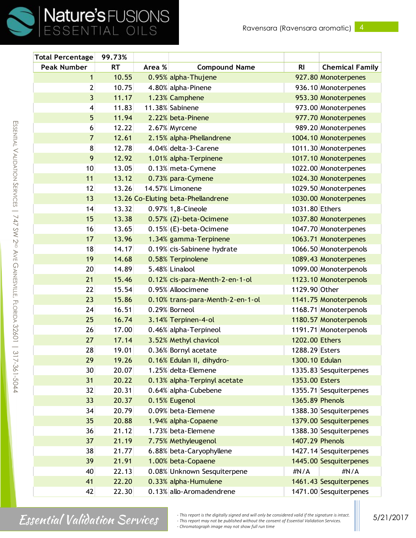

| <b>Total Percentage</b> | 99.73%    |        |                                    |                 |                        |
|-------------------------|-----------|--------|------------------------------------|-----------------|------------------------|
| <b>Peak Number</b>      | <b>RT</b> | Area % | <b>Compound Name</b>               | R <sub>l</sub>  | <b>Chemical Family</b> |
| $\mathbf 1$             | 10.55     |        | 0.95% alpha-Thujene                |                 | 927.80 Monoterpenes    |
| $\mathbf{2}$            | 10.75     |        | 4.80% alpha-Pinene                 |                 | 936.10 Monoterpenes    |
| 3                       | 11.17     |        | 1.23% Camphene                     |                 | 953.30 Monoterpenes    |
| $\overline{\mathbf{4}}$ | 11.83     |        | 11.38% Sabinene                    |                 | 973.00 Monoterpenes    |
| 5                       | 11.94     |        | 2.22% beta-Pinene                  |                 | 977.70 Monoterpenes    |
| $\boldsymbol{6}$        | 12.22     |        | 2.67% Myrcene                      |                 | 989.20 Monoterpenes    |
| $\overline{7}$          | 12.61     |        | 2.15% alpha-Phellandrene           |                 | 1004.10 Monoterpenes   |
| $\bf 8$                 | 12.78     |        | 4.04% delta-3-Carene               |                 | 1011.30 Monoterpenes   |
| 9                       | 12.92     |        | 1.01% alpha-Terpinene              |                 | 1017.10 Monoterpenes   |
| 10                      | 13.05     |        | 0.13% meta-Cymene                  |                 | 1022.00 Monoterpenes   |
| 11                      | 13.12     |        | 0.73% para-Cymene                  |                 | 1024.30 Monoterpenes   |
| 12                      | 13.26     |        | 14.57% Limonene                    |                 | 1029.50 Monoterpenes   |
| 13                      |           |        | 13.26 Co-Eluting beta-Phellandrene |                 | 1030.00 Monoterpenes   |
| 14                      | 13.32     |        | $0.97\%$ 1,8-Cineole               | 1031.80 Ethers  |                        |
| 15                      | 13.38     |        | 0.57% (Z)-beta-Ocimene             |                 | 1037.80 Monoterpenes   |
| 16                      | 13.65     |        | $0.15\%$ (E)-beta-Ocimene          |                 | 1047.70 Monoterpenes   |
| 17                      | 13.96     |        | 1.34% gamma-Terpinene              |                 | 1063.71 Monoterpenes   |
| 18                      | 14.17     |        | 0.19% cis-Sabinene hydrate         |                 | 1066.50 Monoterpenols  |
| 19                      | 14.68     |        | 0.58% Terpinolene                  |                 | 1089.43 Monoterpenes   |
| 20                      | 14.89     |        | 5.48% Linalool                     |                 | 1099.00 Monoterpenols  |
| 21                      | 15.46     |        | 0.12% cis-para-Menth-2-en-1-ol     |                 | 1123.10 Monoterpenols  |
| 22                      | 15.54     |        | 0.95% Alloocimene                  | 1129.90 Other   |                        |
| 23                      | 15.86     |        | 0.10% trans-para-Menth-2-en-1-ol   |                 | 1141.75 Monoterpenols  |
| 24                      | 16.51     |        | 0.29% Borneol                      |                 | 1168.71 Monoterpenols  |
| 25                      | 16.74     |        | 3.14% Terpinen-4-ol                |                 | 1180.57 Monoterpenols  |
| 26                      | 17.00     |        | 0.46% alpha-Terpineol              |                 | 1191.71 Monoterpenols  |
| 27                      | 17.14     |        | 3.52% Methyl chavicol              | 1202.00 Ethers  |                        |
| 28                      | 19.01     |        | 0.36% Bornyl acetate               | 1288.29 Esters  |                        |
| 29                      | 19.26     |        | 0.16% Edulan II, dihydro-          | 1300.10 Edulan  |                        |
| 30 <sup>°</sup>         | 20.07     |        | 1.25% delta-Elemene                |                 | 1335.83 Sesquiterpenes |
| 31                      | 20.22     |        | 0.13% alpha-Terpinyl acetate       | 1353.00 Esters  |                        |
| 32                      | 20.31     |        | 0.64% alpha-Cubebene               |                 | 1355.71 Sesquiterpenes |
| 33                      | 20.37     |        | 0.15% Eugenol                      | 1365.89 Phenols |                        |
| 34                      | 20.79     |        | 0.09% beta-Elemene                 |                 | 1388.30 Sesquiterpenes |
| 35                      | 20.88     |        | 1.94% alpha-Copaene                |                 | 1379.00 Sesquiterpenes |
| 36                      | 21.12     |        | 1.73% beta-Elemene                 |                 | 1388.30 Sesquiterpenes |
| 37                      | 21.19     |        | 7.75% Methyleugenol                | 1407.29 Phenols |                        |
| 38                      | 21.77     |        | 6.88% beta-Caryophyllene           |                 | 1427.14 Sesquiterpenes |
| 39                      | 21.91     |        | 1.00% beta-Copaene                 |                 | 1445.00 Sesquiterpenes |
| 40                      | 22.13     |        | 0.08% Unknown Sesquiterpene        | #N/A            | #N/A                   |
| 41                      | 22.20     |        | 0.33% alpha-Humulene               |                 | 1461.43 Sesquiterpenes |
| 42                      | 22.30     |        | 0.13% allo-Aromadendrene           |                 | 1471.00 Sesquiterpenes |

m

SSENTIAL

 $\,<$ 

# Essential Validation Services

*- This report is the digitally signed and will only be considered valid if the signature is intact. - This report may not be published without the consent of Essential Validation Services. - Chromatograph image may not show full run time*